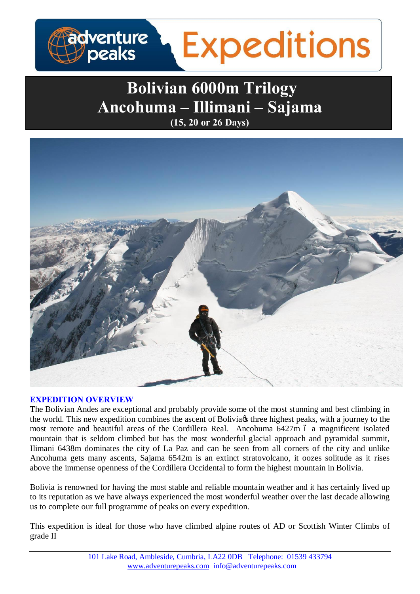

# **Bolivian 6000m Trilogy Ancohuma – Illimani – Sajama (15, 20 or 26 Days)**



# **EXPEDITION OVERVIEW**

The Bolivian Andes are exceptional and probably provide some of the most stunning and best climbing in the world. This new expedition combines the ascent of Bolivia three highest peaks, with a journey to the most remote and beautiful areas of the Cordillera Real. Ancohuma 6427m 6 a magnificent isolated mountain that is seldom climbed but has the most wonderful glacial approach and pyramidal summit, Ilimani 6438m dominates the city of La Paz and can be seen from all corners of the city and unlike Ancohuma gets many ascents, Sajama 6542m is an extinct stratovolcano, it oozes solitude as it rises above the immense openness of the Cordillera Occidental to form the highest mountain in Bolivia.

Bolivia is renowned for having the most stable and reliable mountain weather and it has certainly lived up to its reputation as we have always experienced the most wonderful weather over the last decade allowing us to complete our full programme of peaks on every expedition.

This expedition is ideal for those who have climbed alpine routes of AD or Scottish Winter Climbs of grade II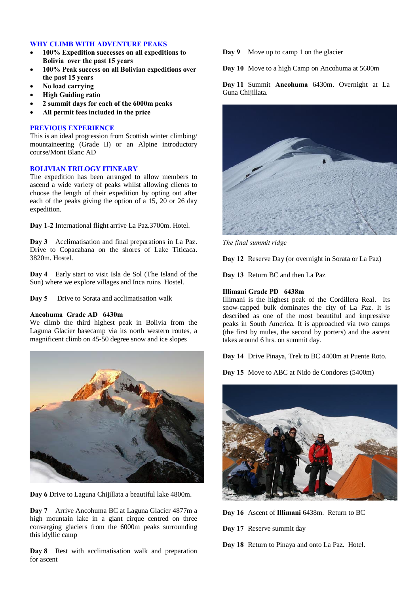# **WHY CLIMB WITH ADVENTURE PEAKS**

- · **100% Expedition successes on all expeditions to Bolivia over the past 15 years**
- · **100% Peak success on all Bolivian expeditions over the past 15 years**
- · **No load carrying**
- · **High Guiding ratio**
- · **2 summit days for each of the 6000m peaks**
- · **All permit fees included in the price**

#### **PREVIOUS EXPERIENCE**

This is an ideal progression from Scottish winter climbing/ mountaineering (Grade II) or an Alpine introductory course/Mont Blanc AD

# **BOLIVIAN TRILOGY ITINEARY**

The expedition has been arranged to allow members to ascend a wide variety of peaks whilst allowing clients to choose the length of their expedition by opting out after each of the peaks giving the option of a 15, 20 or 26 day expedition.

**Day 1-2** International flight arrive La Paz.3700m. Hotel.

**Day 3** Acclimatisation and final preparations in La Paz. Drive to Copacabana on the shores of Lake Titicaca. 3820m. Hostel.

**Day 4** Early start to visit Isla de Sol (The Island of the Sun) where we explore villages and Inca ruins Hostel.

**Day 5** Drive to Sorata and acclimatisation walk

#### **Ancohuma Grade AD 6430m**

We climb the third highest peak in Bolivia from the Laguna Glacier basecamp via its north western routes, a magnificent climb on 45-50 degree snow and ice slopes



**Day 6** Drive to Laguna Chijillata a beautiful lake 4800m.

**Day 7** Arrive Ancohuma BC at Laguna Glacier 4877m a high mountain lake in a giant cirque centred on three converging glaciers from the 6000m peaks surrounding this idyllic camp

**Day 8** Rest with acclimatisation walk and preparation for ascent

**Day 9** Move up to camp 1 on the glacier

**Day 10** Move to a high Camp on Ancohuma at 5600m

**Day 11** Summit **Ancohuma** 6430m. Overnight at La Guna Chijillata.



*The final summit ridge*

**Day 12** Reserve Day (or overnight in Sorata or La Paz)

**Day 13** Return BC and then La Paz

#### **Illimani Grade PD 6438m**

Illimani is the highest peak of the Cordillera Real. Its snow-capped bulk dominates the city of La Paz. It is described as one of the most beautiful and impressive peaks in South America. It is approached via two camps (the first by mules, the second by porters) and the ascent takes around 6 hrs. on summit day.

**Day 14** Drive Pinaya, Trek to BC 4400m at Puente Roto.

**Day 15** Move to ABC at Nido de Condores (5400m)



**Day 16** Ascent of **Illimani** 6438m. Return to BC

**Day 17** Reserve summit day

**Day 18** Return to Pinaya and onto La Paz. Hotel.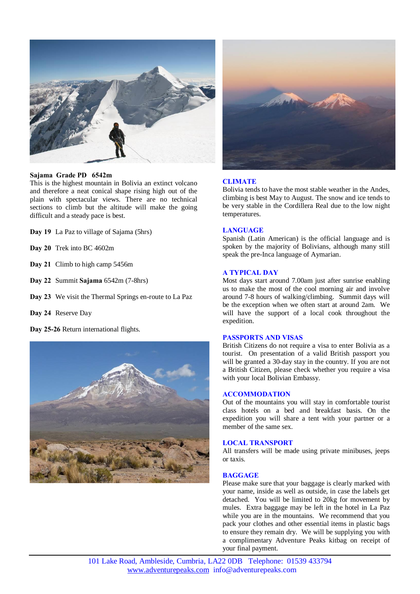

# **Sajama Grade PD 6542m**

This is the highest mountain in Bolivia an extinct volcano and therefore a neat conical shape rising high out of the plain with spectacular views. There are no technical sections to climb but the altitude will make the going difficult and a steady pace is best.

**Day 19** La Paz to village of Sajama (5hrs)

**Day 20** Trek into BC 4602m

**Day 21** Climb to high camp 5456m

- **Day 22** Summit **Sajama** 6542m (7-8hrs)
- **Day 23** We visit the Thermal Springs en-route to La Paz
- **Day 24** Reserve Day

**Day 25-26** Return international flights.





#### **CLIMATE**

Bolivia tends to have the most stable weather in the Andes, climbing is best May to August. The snow and ice tends to be very stable in the Cordillera Real due to the low night temperatures.

#### **LANGUAGE**

Spanish (Latin American) is the official language and is spoken by the majority of Bolivians, although many still speak the pre-Inca language of Aymarian.

# **A TYPICAL DAY**

Most days start around 7.00am just after sunrise enabling us to make the most of the cool morning air and involve around 7-8 hours of walking/climbing. Summit days will be the exception when we often start at around 2am. We will have the support of a local cook throughout the expedition.

# **PASSPORTS AND VISAS**

British Citizens do not require a visa to enter Bolivia as a tourist. On presentation of a valid British passport you will be granted a 30-day stay in the country. If you are not a British Citizen, please check whether you require a visa with your local Bolivian Embassy.

# **ACCOMMODATION**

Out of the mountains you will stay in comfortable tourist class hotels on a bed and breakfast basis. On the expedition you will share a tent with your partner or a member of the same sex.

# **LOCAL TRANSPORT**

All transfers will be made using private minibuses, jeeps or taxis.

# **BAGGAGE**

Please make sure that your baggage is clearly marked with your name, inside as well as outside, in case the labels get detached. You will be limited to 20kg for movement by mules. Extra baggage may be left in the hotel in La Paz while you are in the mountains. We recommend that you pack your clothes and other essential items in plastic bags to ensure they remain dry. We will be supplying you with a complimentary Adventure Peaks kitbag on receipt of your final payment.